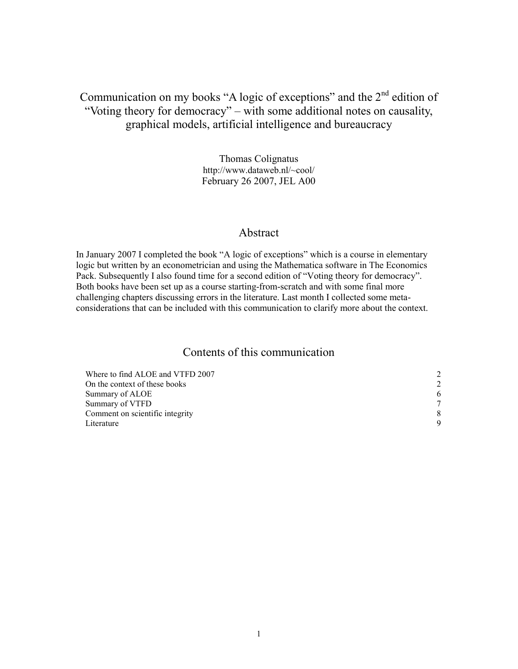# Communication on my books "A logic of exceptions" and the  $2<sup>nd</sup>$  edition of "Voting theory for democracy" – with some additional notes on causality, graphical models, artificial intelligence and bureaucracy

Thomas Colignatus http://www.dataweb.nl/~cool/ February 26 2007, JEL A00

#### Abstract

In January 2007 I completed the book "A logic of exceptions" which is a course in elementary logic but written by an econometrician and using the Mathematica software in The Economics Pack. Subsequently I also found time for a second edition of "Voting theory for democracy". Both books have been set up as a course starting-from-scratch and with some final more challenging chapters discussing errors in the literature. Last month I collected some metaconsiderations that can be included with this communication to clarify more about the context.

## Contents of this communication

| Where to find ALOE and VTFD 2007 |                             |
|----------------------------------|-----------------------------|
| On the context of these books    | $\mathcal{D}_{\mathcal{L}}$ |
| Summary of ALOE                  | 6                           |
| Summary of VTFD                  | 7                           |
| Comment on scientific integrity  | 8                           |
| Literature                       | 9                           |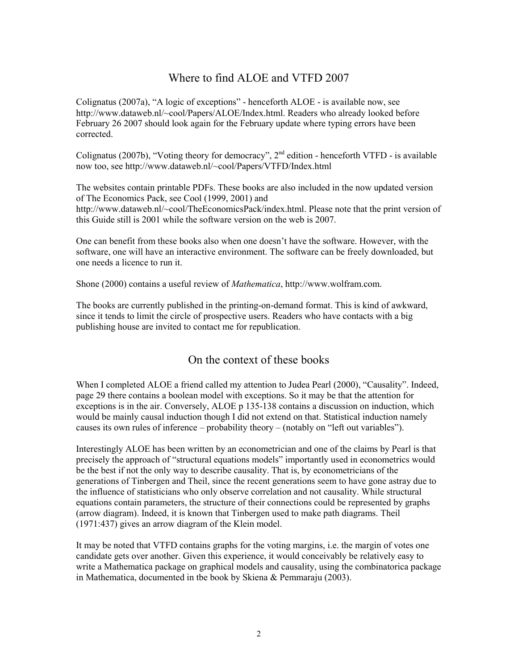## Where to find ALOE and VTFD 2007

Colignatus (2007a), "A logic of exceptions" - henceforth ALOE - is available now, see http://www.dataweb.nl/~cool/Papers/ALOE/Index.html. Readers who already looked before February 26 2007 should look again for the February update where typing errors have been corrected.

Colignatus (2007b), "Voting theory for democracy", 2<sup>nd</sup> edition - henceforth VTFD - is available now too, see http://www.dataweb.nl/~cool/Papers/VTFD/Index.html

The websites contain printable PDFs. These books are also included in the now updated version of The Economics Pack, see Cool (1999, 2001) and http://www.dataweb.nl/~cool/TheEconomicsPack/index.html. Please note that the print version of this Guide still is 2001 while the software version on the web is 2007.

One can benefit from these books also when one doesn't have the software. However, with the software, one will have an interactive environment. The software can be freely downloaded, but one needs a licence to run it.

Shone (2000) contains a useful review of Mathematica, http://www.wolfram.com.

The books are currently published in the printing-on-demand format. This is kind of awkward, since it tends to limit the circle of prospective users. Readers who have contacts with a big publishing house are invited to contact me for republication.

## On the context of these books

When I completed ALOE a friend called my attention to Judea Pearl (2000), "Causality". Indeed, page 29 there contains a boolean model with exceptions. So it may be that the attention for exceptions is in the air. Conversely, ALOE p 135-138 contains a discussion on induction, which would be mainly causal induction though I did not extend on that. Statistical induction namely causes its own rules of inference – probability theory – (notably on "left out variables").

Interestingly ALOE has been written by an econometrician and one of the claims by Pearl is that precisely the approach of "structural equations models" importantly used in econometrics would be the best if not the only way to describe causality. That is, by econometricians of the generations of Tinbergen and Theil, since the recent generations seem to have gone astray due to the influence of statisticians who only observe correlation and not causality. While structural equations contain parameters, the structure of their connections could be represented by graphs (arrow diagram). Indeed, it is known that Tinbergen used to make path diagrams. Theil (1971:437) gives an arrow diagram of the Klein model.

It may be noted that VTFD contains graphs for the voting margins, i.e. the margin of votes one candidate gets over another. Given this experience, it would conceivably be relatively easy to write a Mathematica package on graphical models and causality, using the combinatorica package in Mathematica, documented in tbe book by Skiena & Pemmaraju (2003).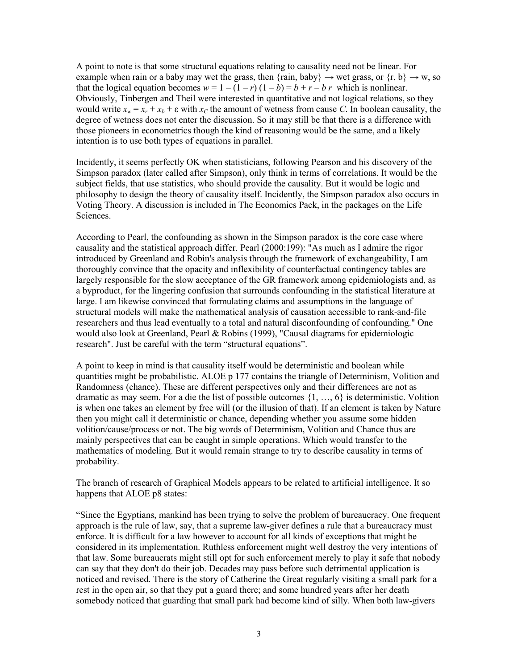A point to note is that some structural equations relating to causality need not be linear. For example when rain or a baby may wet the grass, then {rain, baby}  $\rightarrow$  wet grass, or {r, b}  $\rightarrow$  w, so that the logical equation becomes  $w = 1 - (1 - r)(1 - b) = b + r - b r$  which is nonlinear. Obviously, Tinbergen and Theil were interested in quantitative and not logical relations, so they would write  $x_w = x_r + x_b + \varepsilon$  with  $x_c$  the amount of wetness from cause C. In boolean causality, the degree of wetness does not enter the discussion. So it may still be that there is a difference with those pioneers in econometrics though the kind of reasoning would be the same, and a likely intention is to use both types of equations in parallel.

Incidently, it seems perfectly OK when statisticians, following Pearson and his discovery of the Simpson paradox (later called after Simpson), only think in terms of correlations. It would be the subject fields, that use statistics, who should provide the causality. But it would be logic and philosophy to design the theory of causality itself. Incidently, the Simpson paradox also occurs in Voting Theory. A discussion is included in The Economics Pack, in the packages on the Life Sciences.

According to Pearl, the confounding as shown in the Simpson paradox is the core case where causality and the statistical approach differ. Pearl (2000:199): "As much as I admire the rigor introduced by Greenland and Robin's analysis through the framework of exchangeability, I am thoroughly convince that the opacity and inflexibility of counterfactual contingency tables are largely responsible for the slow acceptance of the GR framework among epidemiologists and, as a byproduct, for the lingering confusion that surrounds confounding in the statistical literature at large. I am likewise convinced that formulating claims and assumptions in the language of structural models will make the mathematical analysis of causation accessible to rank-and-file researchers and thus lead eventually to a total and natural disconfounding of confounding." One would also look at Greenland, Pearl & Robins (1999), "Causal diagrams for epidemiologic research". Just be careful with the term "structural equations".

A point to keep in mind is that causality itself would be deterministic and boolean while quantities might be probabilistic. ALOE p 177 contains the triangle of Determinism, Volition and Randomness (chance). These are different perspectives only and their differences are not as dramatic as may seem. For a die the list of possible outcomes {1, …, 6} is deterministic. Volition is when one takes an element by free will (or the illusion of that). If an element is taken by Nature then you might call it deterministic or chance, depending whether you assume some hidden volition/cause/process or not. The big words of Determinism, Volition and Chance thus are mainly perspectives that can be caught in simple operations. Which would transfer to the mathematics of modeling. But it would remain strange to try to describe causality in terms of probability.

The branch of research of Graphical Models appears to be related to artificial intelligence. It so happens that ALOE p8 states:

"Since the Egyptians, mankind has been trying to solve the problem of bureaucracy. One frequent approach is the rule of law, say, that a supreme law-giver defines a rule that a bureaucracy must enforce. It is difficult for a law however to account for all kinds of exceptions that might be considered in its implementation. Ruthless enforcement might well destroy the very intentions of that law. Some bureaucrats might still opt for such enforcement merely to play it safe that nobody can say that they don't do their job. Decades may pass before such detrimental application is noticed and revised. There is the story of Catherine the Great regularly visiting a small park for a rest in the open air, so that they put a guard there; and some hundred years after her death somebody noticed that guarding that small park had become kind of silly. When both law-givers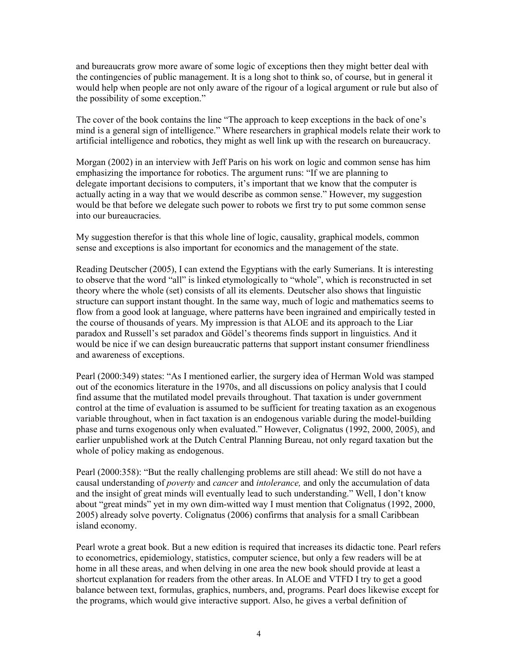and bureaucrats grow more aware of some logic of exceptions then they might better deal with the contingencies of public management. It is a long shot to think so, of course, but in general it would help when people are not only aware of the rigour of a logical argument or rule but also of the possibility of some exception."

The cover of the book contains the line "The approach to keep exceptions in the back of one's mind is a general sign of intelligence." Where researchers in graphical models relate their work to artificial intelligence and robotics, they might as well link up with the research on bureaucracy.

Morgan (2002) in an interview with Jeff Paris on his work on logic and common sense has him emphasizing the importance for robotics. The argument runs: "If we are planning to delegate important decisions to computers, it's important that we know that the computer is actually acting in a way that we would describe as common sense." However, my suggestion would be that before we delegate such power to robots we first try to put some common sense into our bureaucracies.

My suggestion therefor is that this whole line of logic, causality, graphical models, common sense and exceptions is also important for economics and the management of the state.

Reading Deutscher (2005), I can extend the Egyptians with the early Sumerians. It is interesting to observe that the word "all" is linked etymologically to "whole", which is reconstructed in set theory where the whole (set) consists of all its elements. Deutscher also shows that linguistic structure can support instant thought. In the same way, much of logic and mathematics seems to flow from a good look at language, where patterns have been ingrained and empirically tested in the course of thousands of years. My impression is that ALOE and its approach to the Liar paradox and Russell's set paradox and Gödel's theorems finds support in linguistics. And it would be nice if we can design bureaucratic patterns that support instant consumer friendliness and awareness of exceptions.

Pearl (2000:349) states: "As I mentioned earlier, the surgery idea of Herman Wold was stamped out of the economics literature in the 1970s, and all discussions on policy analysis that I could find assume that the mutilated model prevails throughout. That taxation is under government control at the time of evaluation is assumed to be sufficient for treating taxation as an exogenous variable throughout, when in fact taxation is an endogenous variable during the model-building phase and turns exogenous only when evaluated." However, Colignatus (1992, 2000, 2005), and earlier unpublished work at the Dutch Central Planning Bureau, not only regard taxation but the whole of policy making as endogenous.

Pearl (2000:358): "But the really challenging problems are still ahead: We still do not have a causal understanding of *poverty* and *cancer* and *intolerance*, and only the accumulation of data and the insight of great minds will eventually lead to such understanding." Well, I don't know about "great minds" yet in my own dim-witted way I must mention that Colignatus (1992, 2000, 2005) already solve poverty. Colignatus (2006) confirms that analysis for a small Caribbean island economy.

Pearl wrote a great book. But a new edition is required that increases its didactic tone. Pearl refers to econometrics, epidemiology, statistics, computer science, but only a few readers will be at home in all these areas, and when delving in one area the new book should provide at least a shortcut explanation for readers from the other areas. In ALOE and VTFD I try to get a good balance between text, formulas, graphics, numbers, and, programs. Pearl does likewise except for the programs, which would give interactive support. Also, he gives a verbal definition of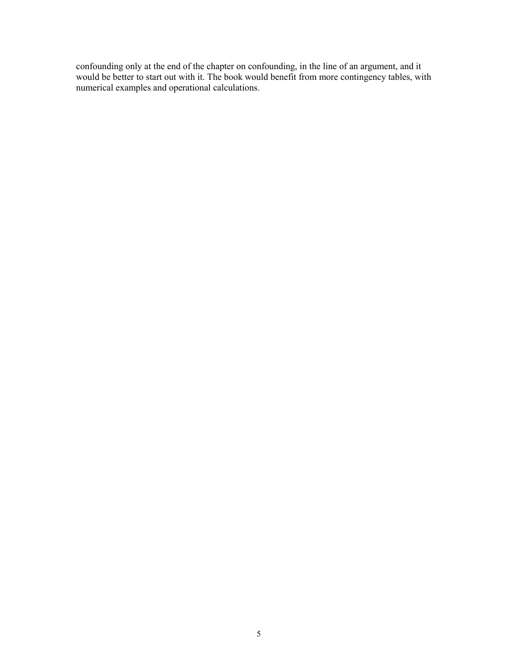confounding only at the end of the chapter on confounding, in the line of an argument, and it would be better to start out with it. The book would benefit from more contingency tables, with numerical examples and operational calculations.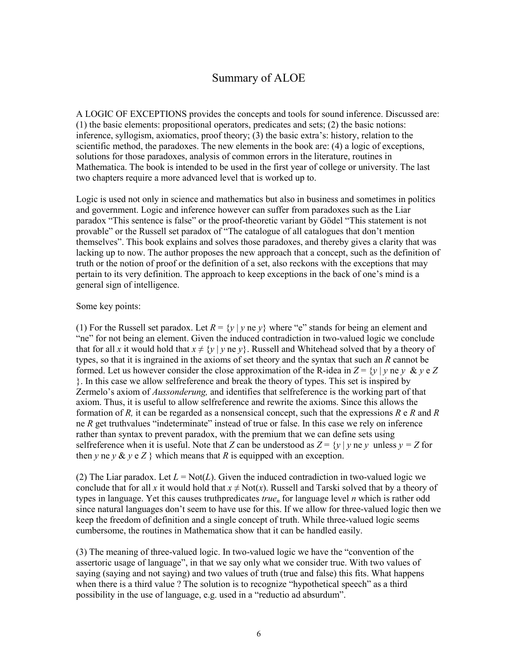## Summary of ALOE

A LOGIC OF EXCEPTIONS provides the concepts and tools for sound inference. Discussed are: (1) the basic elements: propositional operators, predicates and sets; (2) the basic notions: inference, syllogism, axiomatics, proof theory; (3) the basic extra's: history, relation to the scientific method, the paradoxes. The new elements in the book are: (4) a logic of exceptions, solutions for those paradoxes, analysis of common errors in the literature, routines in Mathematica. The book is intended to be used in the first year of college or university. The last two chapters require a more advanced level that is worked up to.

Logic is used not only in science and mathematics but also in business and sometimes in politics and government. Logic and inference however can suffer from paradoxes such as the Liar paradox "This sentence is false" or the proof-theoretic variant by Gödel "This statement is not provable" or the Russell set paradox of "The catalogue of all catalogues that don't mention themselves". This book explains and solves those paradoxes, and thereby gives a clarity that was lacking up to now. The author proposes the new approach that a concept, such as the definition of truth or the notion of proof or the definition of a set, also reckons with the exceptions that may pertain to its very definition. The approach to keep exceptions in the back of one's mind is a general sign of intelligence.

#### Some key points:

(1) For the Russell set paradox. Let  $R = \{y \mid y \neq y\}$  where "e" stands for being an element and "ne" for not being an element. Given the induced contradiction in two-valued logic we conclude that for all x it would hold that  $x \neq \{y \mid y \neq y\}$ . Russell and Whitehead solved that by a theory of types, so that it is ingrained in the axioms of set theory and the syntax that such an R cannot be formed. Let us however consider the close approximation of the R-idea in  $Z = \{v \mid v \in v \& v \in Z\}$ }. In this case we allow selfreference and break the theory of types. This set is inspired by Zermelo's axiom of *Aussonderung*, and identifies that selfreference is the working part of that axiom. Thus, it is useful to allow selfreference and rewrite the axioms. Since this allows the formation of R, it can be regarded as a nonsensical concept, such that the expressions  $R \text{ e } R$  and  $R$ ne R get truthvalues "indeterminate" instead of true or false. In this case we rely on inference rather than syntax to prevent paradox, with the premium that we can define sets using selfreference when it is useful. Note that Z can be understood as  $Z = \{y \mid y \neq y \text{ unless } y = Z \text{ for } y \text{ is } y \text{ and } y \text{ is } Z \}$ then y ne y  $\&$  y e Z } which means that R is equipped with an exception.

(2) The Liar paradox. Let  $L = Not(L)$ . Given the induced contradiction in two-valued logic we conclude that for all x it would hold that  $x \neq Not(x)$ . Russell and Tarski solved that by a theory of types in language. Yet this causes truthpredicates  $true<sub>n</sub>$  for language level *n* which is rather odd since natural languages don't seem to have use for this. If we allow for three-valued logic then we keep the freedom of definition and a single concept of truth. While three-valued logic seems cumbersome, the routines in Mathematica show that it can be handled easily.

(3) The meaning of three-valued logic. In two-valued logic we have the "convention of the assertoric usage of language", in that we say only what we consider true. With two values of saying (saying and not saying) and two values of truth (true and false) this fits. What happens when there is a third value ? The solution is to recognize "hypothetical speech" as a third possibility in the use of language, e.g. used in a "reductio ad absurdum".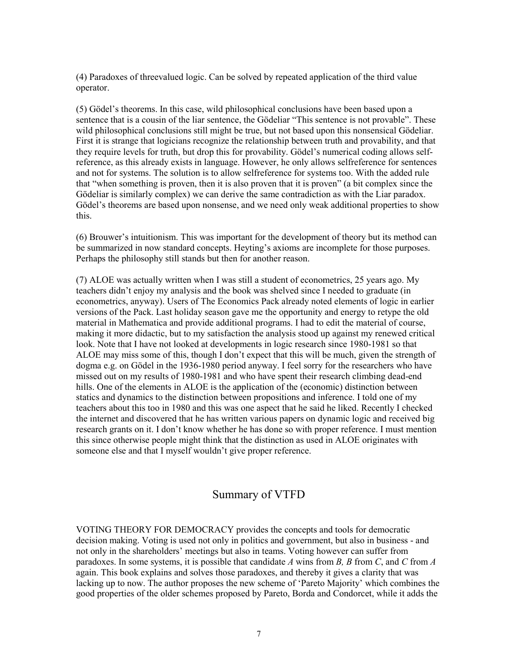(4) Paradoxes of threevalued logic. Can be solved by repeated application of the third value operator.

(5) Gödel's theorems. In this case, wild philosophical conclusions have been based upon a sentence that is a cousin of the liar sentence, the Gödeliar "This sentence is not provable". These wild philosophical conclusions still might be true, but not based upon this nonsensical Gödeliar. First it is strange that logicians recognize the relationship between truth and provability, and that they require levels for truth, but drop this for provability. Gödel's numerical coding allows selfreference, as this already exists in language. However, he only allows selfreference for sentences and not for systems. The solution is to allow selfreference for systems too. With the added rule that "when something is proven, then it is also proven that it is proven" (a bit complex since the Gödeliar is similarly complex) we can derive the same contradiction as with the Liar paradox. Gödel's theorems are based upon nonsense, and we need only weak additional properties to show this.

(6) Brouwer's intuitionism. This was important for the development of theory but its method can be summarized in now standard concepts. Heyting's axioms are incomplete for those purposes. Perhaps the philosophy still stands but then for another reason.

(7) ALOE was actually written when I was still a student of econometrics, 25 years ago. My teachers didn't enjoy my analysis and the book was shelved since I needed to graduate (in econometrics, anyway). Users of The Economics Pack already noted elements of logic in earlier versions of the Pack. Last holiday season gave me the opportunity and energy to retype the old material in Mathematica and provide additional programs. I had to edit the material of course, making it more didactic, but to my satisfaction the analysis stood up against my renewed critical look. Note that I have not looked at developments in logic research since 1980-1981 so that ALOE may miss some of this, though I don't expect that this will be much, given the strength of dogma e.g. on Gödel in the 1936-1980 period anyway. I feel sorry for the researchers who have missed out on my results of 1980-1981 and who have spent their research climbing dead-end hills. One of the elements in ALOE is the application of the (economic) distinction between statics and dynamics to the distinction between propositions and inference. I told one of my teachers about this too in 1980 and this was one aspect that he said he liked. Recently I checked the internet and discovered that he has written various papers on dynamic logic and received big research grants on it. I don't know whether he has done so with proper reference. I must mention this since otherwise people might think that the distinction as used in ALOE originates with someone else and that I myself wouldn't give proper reference.

#### Summary of VTFD

VOTING THEORY FOR DEMOCRACY provides the concepts and tools for democratic decision making. Voting is used not only in politics and government, but also in business - and not only in the shareholders' meetings but also in teams. Voting however can suffer from paradoxes. In some systems, it is possible that candidate A wins from B, B from C, and C from A again. This book explains and solves those paradoxes, and thereby it gives a clarity that was lacking up to now. The author proposes the new scheme of 'Pareto Majority' which combines the good properties of the older schemes proposed by Pareto, Borda and Condorcet, while it adds the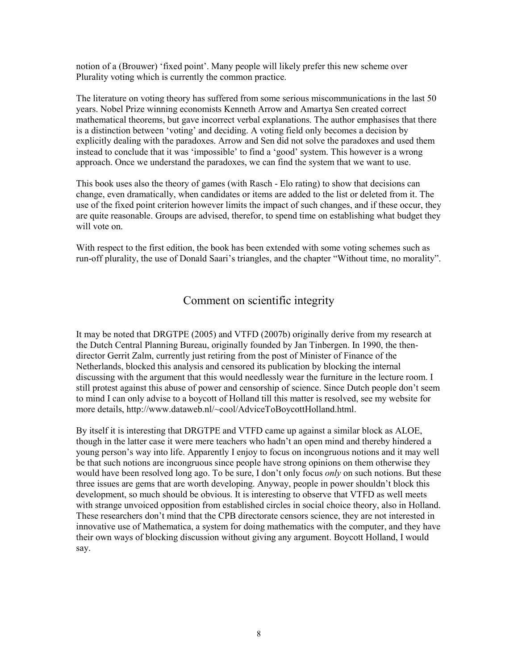notion of a (Brouwer) 'fixed point'. Many people will likely prefer this new scheme over Plurality voting which is currently the common practice.

The literature on voting theory has suffered from some serious miscommunications in the last 50 years. Nobel Prize winning economists Kenneth Arrow and Amartya Sen created correct mathematical theorems, but gave incorrect verbal explanations. The author emphasises that there is a distinction between 'voting' and deciding. A voting field only becomes a decision by explicitly dealing with the paradoxes. Arrow and Sen did not solve the paradoxes and used them instead to conclude that it was 'impossible' to find a 'good' system. This however is a wrong approach. Once we understand the paradoxes, we can find the system that we want to use.

This book uses also the theory of games (with Rasch - Elo rating) to show that decisions can change, even dramatically, when candidates or items are added to the list or deleted from it. The use of the fixed point criterion however limits the impact of such changes, and if these occur, they are quite reasonable. Groups are advised, therefor, to spend time on establishing what budget they will vote on.

With respect to the first edition, the book has been extended with some voting schemes such as run-off plurality, the use of Donald Saari's triangles, and the chapter "Without time, no morality".

#### Comment on scientific integrity

It may be noted that DRGTPE (2005) and VTFD (2007b) originally derive from my research at the Dutch Central Planning Bureau, originally founded by Jan Tinbergen. In 1990, the thendirector Gerrit Zalm, currently just retiring from the post of Minister of Finance of the Netherlands, blocked this analysis and censored its publication by blocking the internal discussing with the argument that this would needlessly wear the furniture in the lecture room. I still protest against this abuse of power and censorship of science. Since Dutch people don't seem to mind I can only advise to a boycott of Holland till this matter is resolved, see my website for more details, http://www.dataweb.nl/~cool/AdviceToBoycottHolland.html.

By itself it is interesting that DRGTPE and VTFD came up against a similar block as ALOE, though in the latter case it were mere teachers who hadn't an open mind and thereby hindered a young person's way into life. Apparently I enjoy to focus on incongruous notions and it may well be that such notions are incongruous since people have strong opinions on them otherwise they would have been resolved long ago. To be sure, I don't only focus *only* on such notions. But these three issues are gems that are worth developing. Anyway, people in power shouldn't block this development, so much should be obvious. It is interesting to observe that VTFD as well meets with strange unvoiced opposition from established circles in social choice theory, also in Holland. These researchers don't mind that the CPB directorate censors science, they are not interested in innovative use of Mathematica, a system for doing mathematics with the computer, and they have their own ways of blocking discussion without giving any argument. Boycott Holland, I would say.